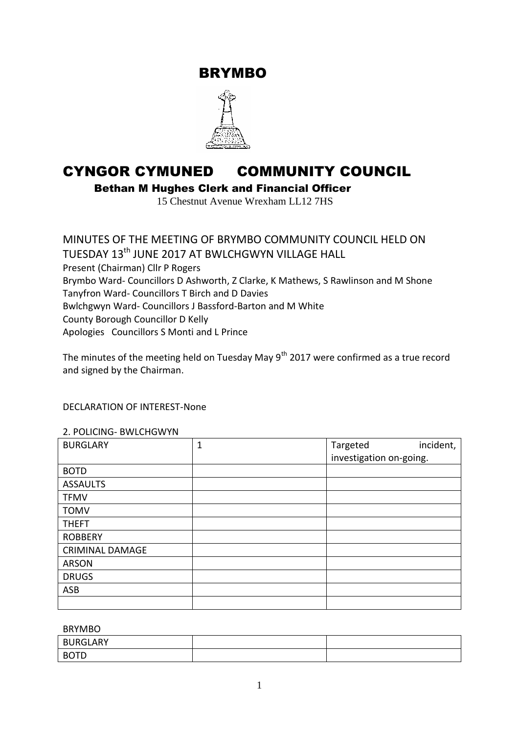BRYMBO



# CYNGOR CYMUNED COMMUNITY COUNCIL

Bethan M Hughes Clerk and Financial Officer

15 Chestnut Avenue Wrexham LL12 7HS

MINUTES OF THE MEETING OF BRYMBO COMMUNITY COUNCIL HELD ON TUESDAY 13<sup>th</sup> JUNE 2017 AT BWLCHGWYN VILLAGE HALL Present (Chairman) Cllr P Rogers Brymbo Ward- Councillors D Ashworth, Z Clarke, K Mathews, S Rawlinson and M Shone Tanyfron Ward- Councillors T Birch and D Davies Bwlchgwyn Ward- Councillors J Bassford-Barton and M White County Borough Councillor D Kelly Apologies Councillors S Monti and L Prince

The minutes of the meeting held on Tuesday May  $9^{th}$  2017 were confirmed as a true record and signed by the Chairman.

#### DECLARATION OF INTEREST-None

#### 2. POLICING- BWLCHGWYN

| <b>BURGLARY</b>        | 1 | Targeted                | incident, |
|------------------------|---|-------------------------|-----------|
|                        |   | investigation on-going. |           |
| <b>BOTD</b>            |   |                         |           |
| <b>ASSAULTS</b>        |   |                         |           |
| <b>TFMV</b>            |   |                         |           |
| <b>TOMV</b>            |   |                         |           |
| <b>THEFT</b>           |   |                         |           |
| <b>ROBBERY</b>         |   |                         |           |
| <b>CRIMINAL DAMAGE</b> |   |                         |           |
| <b>ARSON</b>           |   |                         |           |
| <b>DRUGS</b>           |   |                         |           |
| <b>ASB</b>             |   |                         |           |
|                        |   |                         |           |

#### BRYMBO

| <b>BURGLARY</b>    |  |
|--------------------|--|
| <b>BOTD</b><br>຺ ∟ |  |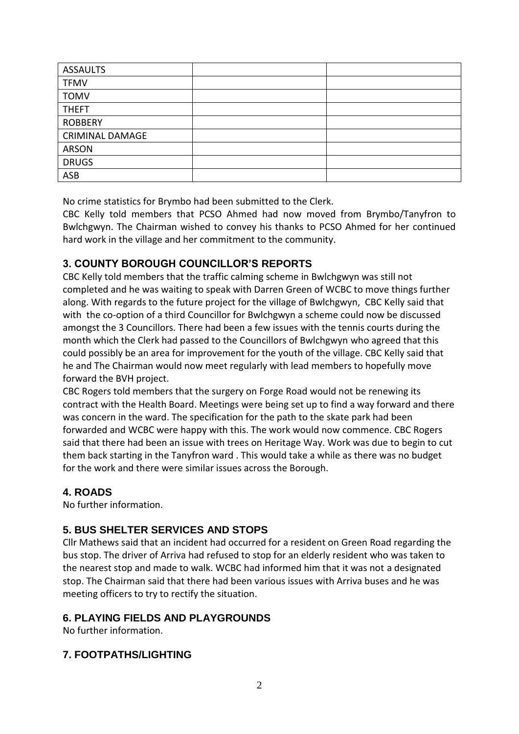| <b>ASSAULTS</b>        |  |
|------------------------|--|
| <b>TFMV</b>            |  |
| <b>TOMV</b>            |  |
| <b>THEFT</b>           |  |
| <b>ROBBERY</b>         |  |
| <b>CRIMINAL DAMAGE</b> |  |
| <b>ARSON</b>           |  |
| <b>DRUGS</b>           |  |
| ASB                    |  |

No crime statistics for Brymbo had been submitted to the Clerk.

CBC Kelly told members that PCSO Ahmed had now moved from Brymbo/Tanyfron to Bwlchgwyn. The Chairman wished to convey his thanks to PCSO Ahmed for her continued hard work in the village and her commitment to the community.

# **3. COUNTY BOROUGH COUNCILLOR'S REPORTS**

CBC Kelly told members that the traffic calming scheme in Bwlchgwyn was still not completed and he was waiting to speak with Darren Green of WCBC to move things further along. With regards to the future project for the village of Bwlchgwyn, CBC Kelly said that with the co-option of a third Councillor for Bwlchgwyn a scheme could now be discussed amongst the 3 Councillors. There had been a few issues with the tennis courts during the month which the Clerk had passed to the Councillors of Bwlchgwyn who agreed that this could possibly be an area for improvement for the youth of the village. CBC Kelly said that he and The Chairman would now meet regularly with lead members to hopefully move forward the BVH project.

CBC Rogers told members that the surgery on Forge Road would not be renewing its contract with the Health Board. Meetings were being set up to find a way forward and there was concern in the ward. The specification for the path to the skate park had been forwarded and WCBC were happy with this. The work would now commence. CBC Rogers said that there had been an issue with trees on Heritage Way. Work was due to begin to cut them back starting in the Tanyfron ward . This would take a while as there was no budget for the work and there were similar issues across the Borough.

# **4. ROADS**

No further information.

# **5. BUS SHELTER SERVICES AND STOPS**

Cllr Mathews said that an incident had occurred for a resident on Green Road regarding the bus stop. The driver of Arriva had refused to stop for an elderly resident who was taken to the nearest stop and made to walk. WCBC had informed him that it was not a designated stop. The Chairman said that there had been various issues with Arriva buses and he was meeting officers to try to rectify the situation.

# **6. PLAYING FIELDS AND PLAYGROUNDS**

No further information.

# **7. FOOTPATHS/LIGHTING**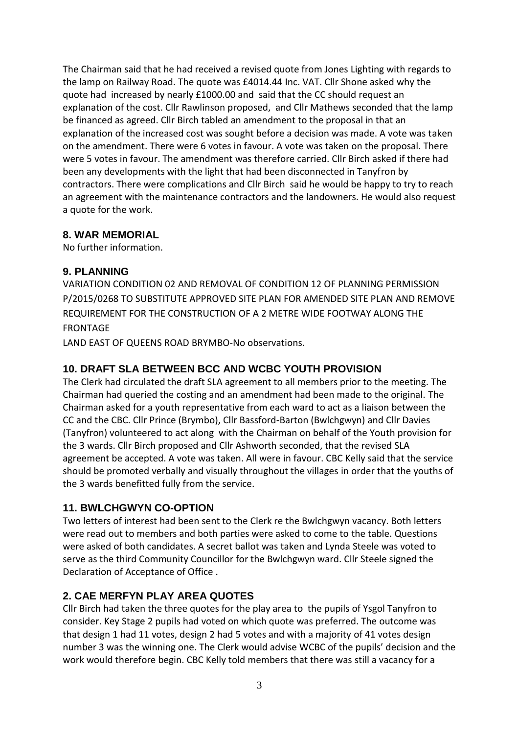The Chairman said that he had received a revised quote from Jones Lighting with regards to the lamp on Railway Road. The quote was £4014.44 Inc. VAT. Cllr Shone asked why the quote had increased by nearly £1000.00 and said that the CC should request an explanation of the cost. Cllr Rawlinson proposed, and Cllr Mathews seconded that the lamp be financed as agreed. Cllr Birch tabled an amendment to the proposal in that an explanation of the increased cost was sought before a decision was made. A vote was taken on the amendment. There were 6 votes in favour. A vote was taken on the proposal. There were 5 votes in favour. The amendment was therefore carried. Cllr Birch asked if there had been any developments with the light that had been disconnected in Tanyfron by contractors. There were complications and Cllr Birch said he would be happy to try to reach an agreement with the maintenance contractors and the landowners. He would also request a quote for the work.

## **8. WAR MEMORIAL**

No further information.

## **9. PLANNING**

VARIATION CONDITION 02 AND REMOVAL OF CONDITION 12 OF PLANNING PERMISSION P/2015/0268 TO SUBSTITUTE APPROVED SITE PLAN FOR AMENDED SITE PLAN AND REMOVE REQUIREMENT FOR THE CONSTRUCTION OF A 2 METRE WIDE FOOTWAY ALONG THE FRONTAGE

LAND EAST OF QUEENS ROAD BRYMBO-No observations.

# **10. DRAFT SLA BETWEEN BCC AND WCBC YOUTH PROVISION**

The Clerk had circulated the draft SLA agreement to all members prior to the meeting. The Chairman had queried the costing and an amendment had been made to the original. The Chairman asked for a youth representative from each ward to act as a liaison between the CC and the CBC. Cllr Prince (Brymbo), Cllr Bassford-Barton (Bwlchgwyn) and Cllr Davies (Tanyfron) volunteered to act along with the Chairman on behalf of the Youth provision for the 3 wards. Cllr Birch proposed and Cllr Ashworth seconded, that the revised SLA agreement be accepted. A vote was taken. All were in favour. CBC Kelly said that the service should be promoted verbally and visually throughout the villages in order that the youths of the 3 wards benefitted fully from the service.

# **11. BWLCHGWYN CO-OPTION**

Two letters of interest had been sent to the Clerk re the Bwlchgwyn vacancy. Both letters were read out to members and both parties were asked to come to the table. Questions were asked of both candidates. A secret ballot was taken and Lynda Steele was voted to serve as the third Community Councillor for the Bwlchgwyn ward. Cllr Steele signed the Declaration of Acceptance of Office .

# **2. CAE MERFYN PLAY AREA QUOTES**

Cllr Birch had taken the three quotes for the play area to the pupils of Ysgol Tanyfron to consider. Key Stage 2 pupils had voted on which quote was preferred. The outcome was that design 1 had 11 votes, design 2 had 5 votes and with a majority of 41 votes design number 3 was the winning one. The Clerk would advise WCBC of the pupils' decision and the work would therefore begin. CBC Kelly told members that there was still a vacancy for a